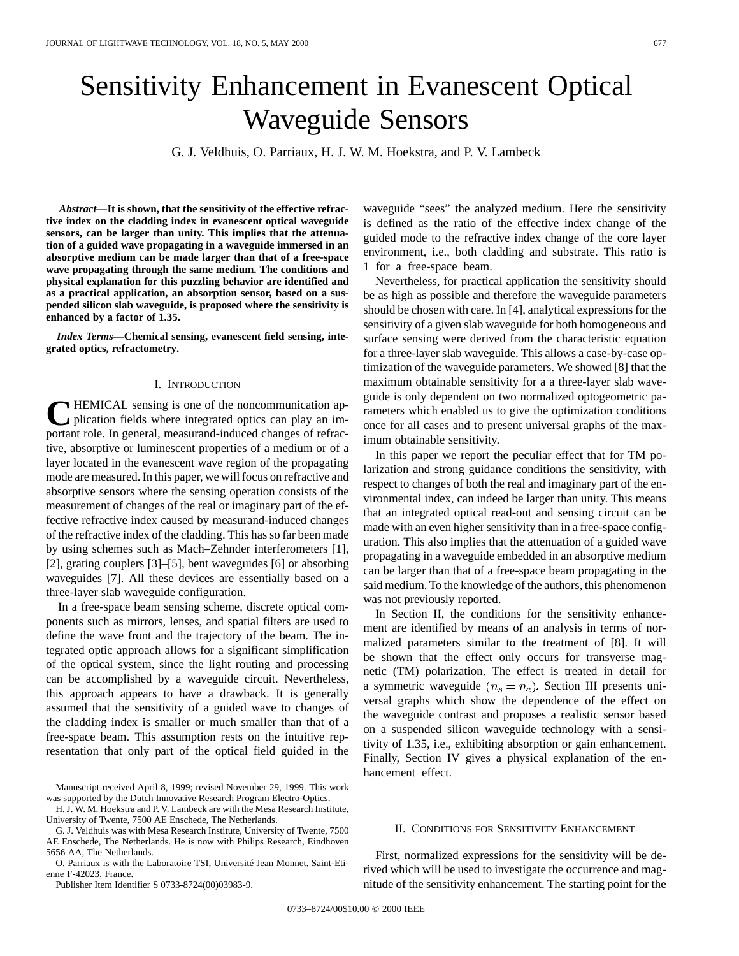# Sensitivity Enhancement in Evanescent Optical Waveguide Sensors

G. J. Veldhuis, O. Parriaux, H. J. W. M. Hoekstra, and P. V. Lambeck

*Abstract—***It is shown, that the sensitivity of the effective refractive index on the cladding index in evanescent optical waveguide sensors, can be larger than unity. This implies that the attenuation of a guided wave propagating in a waveguide immersed in an absorptive medium can be made larger than that of a free-space wave propagating through the same medium. The conditions and physical explanation for this puzzling behavior are identified and as a practical application, an absorption sensor, based on a suspended silicon slab waveguide, is proposed where the sensitivity is enhanced by a factor of 1.35.**

*Index Terms—***Chemical sensing, evanescent field sensing, integrated optics, refractometry.**

### I. INTRODUCTION

**THEMICAL** sensing is one of the noncommunication application fields where integrated optics can play an important role. In general, measurand-induced changes of refractive, absorptive or luminescent properties of a medium or of a layer located in the evanescent wave region of the propagating mode are measured. In this paper, we will focus on refractive and absorptive sensors where the sensing operation consists of the measurement of changes of the real or imaginary part of the effective refractive index caused by measurand-induced changes of the refractive index of the cladding. This has so far been made by using schemes such as Mach–Zehnder interferometers [1], [2], grating couplers [3]–[5], bent waveguides [6] or absorbing waveguides [7]. All these devices are essentially based on a three-layer slab waveguide configuration.

In a free-space beam sensing scheme, discrete optical components such as mirrors, lenses, and spatial filters are used to define the wave front and the trajectory of the beam. The integrated optic approach allows for a significant simplification of the optical system, since the light routing and processing can be accomplished by a waveguide circuit. Nevertheless, this approach appears to have a drawback. It is generally assumed that the sensitivity of a guided wave to changes of the cladding index is smaller or much smaller than that of a free-space beam. This assumption rests on the intuitive representation that only part of the optical field guided in the

Manuscript received April 8, 1999; revised November 29, 1999. This work was supported by the Dutch Innovative Research Program Electro-Optics.

H. J. W. M. Hoekstra and P. V. Lambeck are with the Mesa Research Institute, University of Twente, 7500 AE Enschede, The Netherlands.

G. J. Veldhuis was with Mesa Research Institute, University of Twente, 7500 AE Enschede, The Netherlands. He is now with Philips Research, Eindhoven 5656 AA, The Netherlands.

O. Parriaux is with the Laboratoire TSI, Université Jean Monnet, Saint-Etienne F-42023, France.

Publisher Item Identifier S 0733-8724(00)03983-9.

waveguide "sees" the analyzed medium. Here the sensitivity is defined as the ratio of the effective index change of the guided mode to the refractive index change of the core layer environment, i.e., both cladding and substrate. This ratio is 1 for a free-space beam.

Nevertheless, for practical application the sensitivity should be as high as possible and therefore the waveguide parameters should be chosen with care. In [4], analytical expressions for the sensitivity of a given slab waveguide for both homogeneous and surface sensing were derived from the characteristic equation for a three-layer slab waveguide. This allows a case-by-case optimization of the waveguide parameters. We showed [8] that the maximum obtainable sensitivity for a a three-layer slab waveguide is only dependent on two normalized optogeometric parameters which enabled us to give the optimization conditions once for all cases and to present universal graphs of the maximum obtainable sensitivity.

In this paper we report the peculiar effect that for TM polarization and strong guidance conditions the sensitivity, with respect to changes of both the real and imaginary part of the environmental index, can indeed be larger than unity. This means that an integrated optical read-out and sensing circuit can be made with an even higher sensitivity than in a free-space configuration. This also implies that the attenuation of a guided wave propagating in a waveguide embedded in an absorptive medium can be larger than that of a free-space beam propagating in the said medium. To the knowledge of the authors, this phenomenon was not previously reported.

In Section II, the conditions for the sensitivity enhancement are identified by means of an analysis in terms of normalized parameters similar to the treatment of [8]. It will be shown that the effect only occurs for transverse magnetic (TM) polarization. The effect is treated in detail for a symmetric waveguide  $(n_s = n_c)$ . Section III presents universal graphs which show the dependence of the effect on the waveguide contrast and proposes a realistic sensor based on a suspended silicon waveguide technology with a sensitivity of 1.35, i.e., exhibiting absorption or gain enhancement. Finally, Section IV gives a physical explanation of the enhancement effect.

## II. CONDITIONS FOR SENSITIVITY ENHANCEMENT

First, normalized expressions for the sensitivity will be derived which will be used to investigate the occurrence and magnitude of the sensitivity enhancement. The starting point for the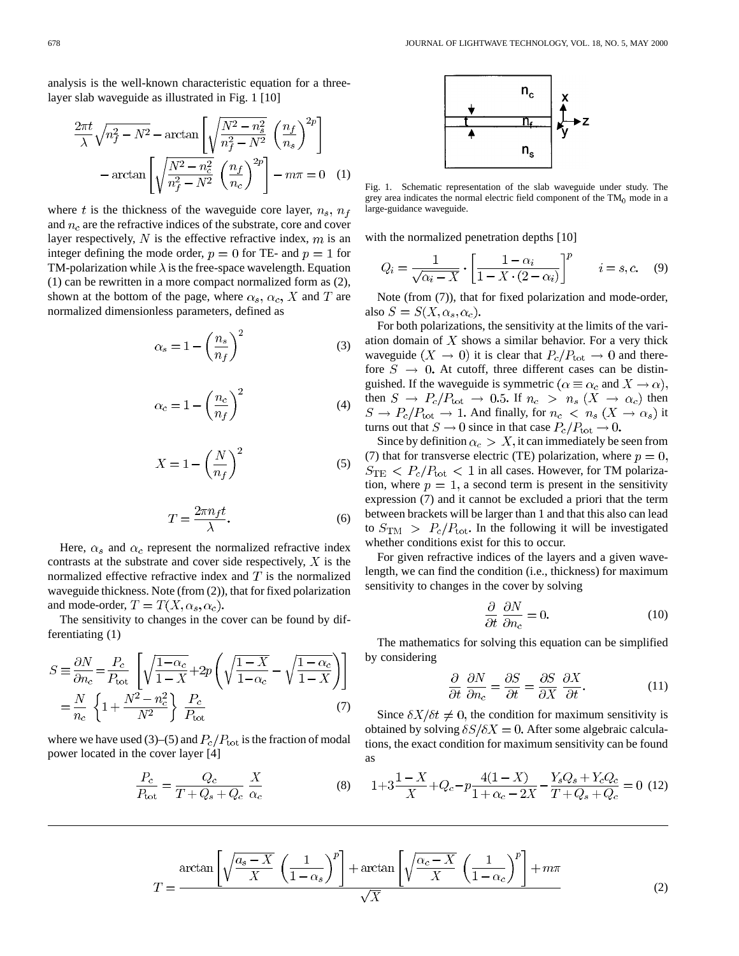analysis is the well-known characteristic equation for a threelayer slab waveguide as illustrated in Fig. 1 [10]

$$
\frac{2\pi t}{\lambda} \sqrt{n_f^2 - N^2} - \arctan\left[\sqrt{\frac{N^2 - n_s^2}{n_f^2 - N^2}} \left(\frac{n_f}{n_s}\right)^{2p}\right] - \arctan\left[\sqrt{\frac{N^2 - n_c^2}{n_f^2 - N^2}} \left(\frac{n_f}{n_c}\right)^{2p}\right] - m\pi = 0 \quad (1)
$$

where t is the thickness of the waveguide core layer,  $n_s$ ,  $n_f$ and  $n_c$  are the refractive indices of the substrate, core and cover layer respectively,  $N$  is the effective refractive index,  $m$  is an integer defining the mode order,  $p = 0$  for TE- and  $p = 1$  for TM-polarization while  $\lambda$  is the free-space wavelength. Equation (1) can be rewritten in a more compact normalized form as (2), shown at the bottom of the page, where  $\alpha_s$ ,  $\alpha_c$ , X and T are normalized dimensionless parameters, defined as

$$
\alpha_s = 1 - \left(\frac{n_s}{n_f}\right)^2 \tag{3}
$$

$$
\alpha_c = 1 - \left(\frac{n_c}{n_f}\right)^2 \tag{4}
$$

$$
X = 1 - \left(\frac{N}{n_f}\right)^2\tag{5}
$$

$$
T = \frac{2\pi n_f t}{\lambda}.\tag{6}
$$

Here,  $\alpha_s$  and  $\alpha_c$  represent the normalized refractive index contrasts at the substrate and cover side respectively,  $X$  is the normalized effective refractive index and  $T$  is the normalized waveguide thickness. Note (from (2)), that for fixed polarization and mode-order,  $T = T(X, \alpha_s, \alpha_c)$ .

The sensitivity to changes in the cover can be found by differentiating (1)

$$
S \equiv \frac{\partial N}{\partial n_c} = \frac{P_c}{P_{\text{tot}}} \left[ \sqrt{\frac{1 - \alpha_c}{1 - X}} + 2p \left( \sqrt{\frac{1 - X}{1 - \alpha_c}} - \sqrt{\frac{1 - \alpha_c}{1 - X}} \right) \right]
$$

$$
= \frac{N}{n_c} \left\{ 1 + \frac{N^2 - n_c^2}{N^2} \right\} \frac{P_c}{P_{\text{tot}}} \tag{7}
$$

where we have used (3)–(5) and  $P_c/P_{\text{tot}}$  is the fraction of modal power located in the cover layer [4]

$$
\frac{P_c}{P_{\text{tot}}} = \frac{Q_c}{T + Q_s + Q_c} \frac{X}{\alpha_c} \tag{8}
$$



Fig. 1. Schematic representation of the slab waveguide under study. The grey area indicates the normal electric field component of the  $TM_0$  mode in a large-guidance waveguide.

with the normalized penetration depths [10]

$$
Q_i = \frac{1}{\sqrt{\alpha_i - X}} \cdot \left[ \frac{1 - \alpha_i}{1 - X \cdot (2 - \alpha_i)} \right]^p \qquad i = s, c. \tag{9}
$$

Note (from (7)), that for fixed polarization and mode-order, also  $S = S(X, \alpha_s, \alpha_c)$ .

For both polarizations, the sensitivity at the limits of the variation domain of  $X$  shows a similar behavior. For a very thick waveguide  $(X \to 0)$  it is clear that  $P_c/P_{\text{tot}} \to 0$  and therefore  $S \rightarrow 0$ . At cutoff, three different cases can be distinguished. If the waveguide is symmetric ( $\alpha \equiv \alpha_c$  and  $X \to \alpha$ ), then  $S \to P_c/P_{\text{tot}} \to 0.5$ . If  $n_c > n_s (X \to \alpha_c)$  then And finally, for  $n_c \, < n_s \, (X \to \alpha_s)$  it turns out that  $S \to 0$  since in that case

Since by definition  $\alpha_c > X$ , it can immediately be seen from (7) that for transverse electric (TE) polarization, where  $p = 0$ ,  $S_{\text{TE}}$  <  $P_c/P_{\text{tot}}$  < 1 in all cases. However, for TM polarization, where  $p = 1$ , a second term is present in the sensitivity expression (7) and it cannot be excluded a priori that the term between brackets will be larger than 1 and that this also can lead to  $S_{\text{TM}} > P_c/P_{\text{tot}}$ . In the following it will be investigated whether conditions exist for this to occur.

For given refractive indices of the layers and a given wavelength, we can find the condition (i.e., thickness) for maximum sensitivity to changes in the cover by solving

$$
\frac{\partial}{\partial t} \frac{\partial N}{\partial n_c} = 0.
$$
 (10)

The mathematics for solving this equation can be simplified by considering

$$
\frac{\partial}{\partial t} \frac{\partial N}{\partial n_c} = \frac{\partial S}{\partial t} = \frac{\partial S}{\partial X} \frac{\partial X}{\partial t}.
$$
 (11)

Since  $\delta X/\delta t \neq 0$ , the condition for maximum sensitivity is obtained by solving  $\delta S/\delta X = 0$ . After some algebraic calculations, the exact condition for maximum sensitivity can be found as

$$
1+3\frac{1-X}{X}+Q_c-p\frac{4(1-X)}{1+\alpha_c-2X}-\frac{Y_sQ_s+Y_cQ_c}{T+Q_s+Q_c}=0\tag{12}
$$

$$
T = \frac{\arctan\left[\sqrt{\frac{a_s - X}{X}} \left(\frac{1}{1 - \alpha_s}\right)^p\right] + \arctan\left[\sqrt{\frac{\alpha_c - X}{X}} \left(\frac{1}{1 - \alpha_c}\right)^p\right] + m\pi}{\sqrt{X}}
$$
(2)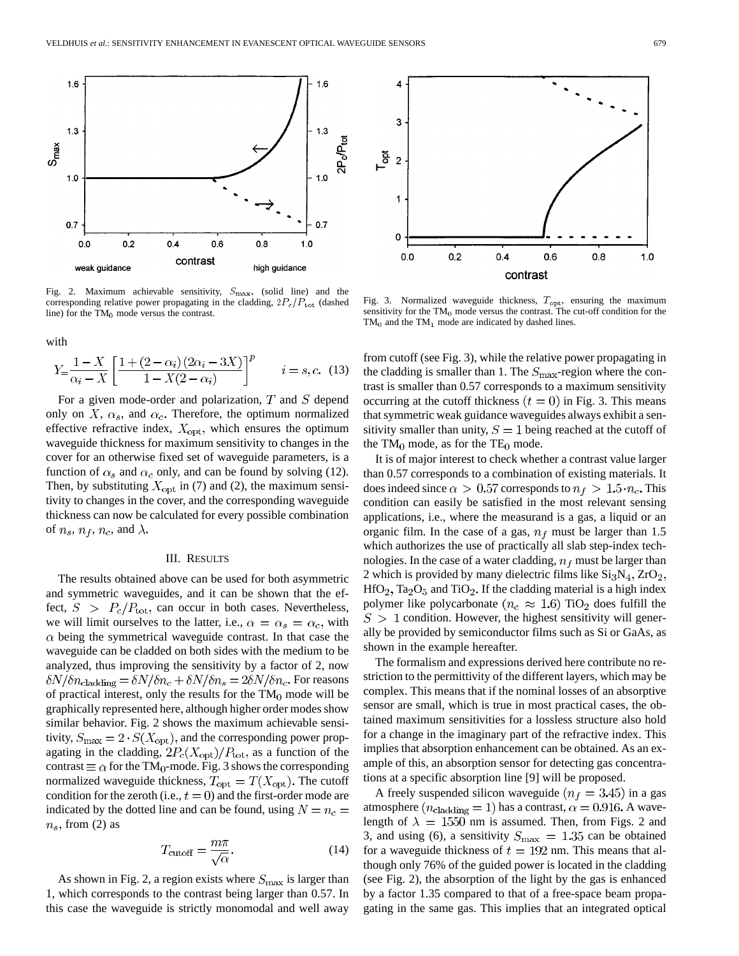

Fig. 2. Maximum achievable sensitivity,  $S_{\text{max}}$ , (solid line) and the corresponding relative power propagating in the cladding,  $2P_c/P_{\text{tot}}$  (dashed line) for the  $TM_0$  mode versus the contrast.

with

$$
Y = \frac{1 - X}{\alpha_i - X} \left[ \frac{1 + (2 - \alpha_i)(2\alpha_i - 3X)}{1 - X(2 - \alpha_i)} \right]^p \qquad i = s, c. \tag{13}
$$

For a given mode-order and polarization,  $T$  and  $S$  depend only on  $X$ ,  $\alpha_s$ , and  $\alpha_c$ . Therefore, the optimum normalized effective refractive index,  $X_{opt}$ , which ensures the optimum waveguide thickness for maximum sensitivity to changes in the cover for an otherwise fixed set of waveguide parameters, is a function of  $\alpha_s$  and  $\alpha_c$  only, and can be found by solving (12). Then, by substituting  $X_{\text{opt}}$  in (7) and (2), the maximum sensitivity to changes in the cover, and the corresponding waveguide thickness can now be calculated for every possible combination of  $n_s$ ,  $n_f$ ,  $n_c$ , and  $\lambda$ .

## III. RESULTS

The results obtained above can be used for both asymmetric and symmetric waveguides, and it can be shown that the effect,  $S > P_c/P_{\text{tot}}$ , can occur in both cases. Nevertheless, we will limit ourselves to the latter, i.e.,  $\alpha = \alpha_s = \alpha_c$ , with  $\alpha$  being the symmetrical waveguide contrast. In that case the waveguide can be cladded on both sides with the medium to be analyzed, thus improving the sensitivity by a factor of 2, now  $\delta N/\delta n_{\rm{cladding}} = \delta N/\delta n_c + \delta N/\delta n_s = 2\delta N/\delta n_c$ . For reasons of practical interest, only the results for the  $TM_0$  mode will be graphically represented here, although higher order modes show similar behavior. Fig. 2 shows the maximum achievable sensitivity,  $S_{\text{max}} = 2 \cdot S(X_{\text{opt}})$ , and the corresponding power propagating in the cladding,  $2P_c(X_{\text{opt}})/P_{\text{tot}}$ , as a function of the contrast  $\equiv \alpha$  for the TM<sub>0</sub>-mode. Fig. 3 shows the corresponding normalized waveguide thickness,  $T_{opt} = T(X_{opt})$ . The cutoff condition for the zeroth (i.e.,  $t = 0$ ) and the first-order mode are indicated by the dotted line and can be found, using  $N = n_c$  $n_s$ , from (2) as

$$
T_{\text{cutoff}} = \frac{m\pi}{\sqrt{\alpha}}.\tag{14}
$$

As shown in Fig. 2, a region exists where  $S_{\text{max}}$  is larger than 1, which corresponds to the contrast being larger than 0.57. In this case the waveguide is strictly monomodal and well away



Fig. 3. Normalized waveguide thickness,  $T_{\text{opt}}$ , ensuring the maximum sensitivity for the  $TM_0$  mode versus the contrast. The cut-off condition for the  $TM_0$  and the TM<sub>1</sub> mode are indicated by dashed lines.

from cutoff (see Fig. 3), while the relative power propagating in the cladding is smaller than 1. The  $S_{\text{max}}$ -region where the contrast is smaller than 0.57 corresponds to a maximum sensitivity occurring at the cutoff thickness  $(t = 0)$  in Fig. 3. This means that symmetric weak guidance waveguides always exhibit a sensitivity smaller than unity,  $S = 1$  being reached at the cutoff of the  $TM_0$  mode, as for the  $TE_0$  mode.

It is of major interest to check whether a contrast value larger than 0.57 corresponds to a combination of existing materials. It does indeed since  $\alpha > 0.57$  corresponds to  $n_f > 1.5 \cdot n_c$ . This condition can easily be satisfied in the most relevant sensing applications, i.e., where the measurand is a gas, a liquid or an organic film. In the case of a gas,  $n_f$  must be larger than 1.5 which authorizes the use of practically all slab step-index technologies. In the case of a water cladding,  $n_f$  must be larger than 2 which is provided by many dielectric films like  $Si<sub>3</sub>N<sub>4</sub>, ZrO<sub>2</sub>$ ,  $HfO<sub>2</sub>$ , Ta<sub>2</sub>O<sub>5</sub> and TiO<sub>2</sub>. If the cladding material is a high index polymer like polycarbonate ( $n_c \approx 1.6$ ) TiO<sub>2</sub> does fulfill the  $S > 1$  condition. However, the highest sensitivity will generally be provided by semiconductor films such as Si or GaAs, as shown in the example hereafter.

The formalism and expressions derived here contribute no restriction to the permittivity of the different layers, which may be complex. This means that if the nominal losses of an absorptive sensor are small, which is true in most practical cases, the obtained maximum sensitivities for a lossless structure also hold for a change in the imaginary part of the refractive index. This implies that absorption enhancement can be obtained. As an example of this, an absorption sensor for detecting gas concentrations at a specific absorption line [9] will be proposed.

A freely suspended silicon waveguide  $(n_f = 3.45)$  in a gas atmosphere ( $n_{\rm{cladding}} = 1$ ) has a contrast,  $\alpha = 0.916$ . A wavelength of  $\lambda = 1550$  nm is assumed. Then, from Figs. 2 and 3, and using (6), a sensitivity  $S_{\text{max}} = 1.35$  can be obtained for a waveguide thickness of  $t = 192$  nm. This means that although only 76% of the guided power is located in the cladding (see Fig. 2), the absorption of the light by the gas is enhanced by a factor 1.35 compared to that of a free-space beam propagating in the same gas. This implies that an integrated optical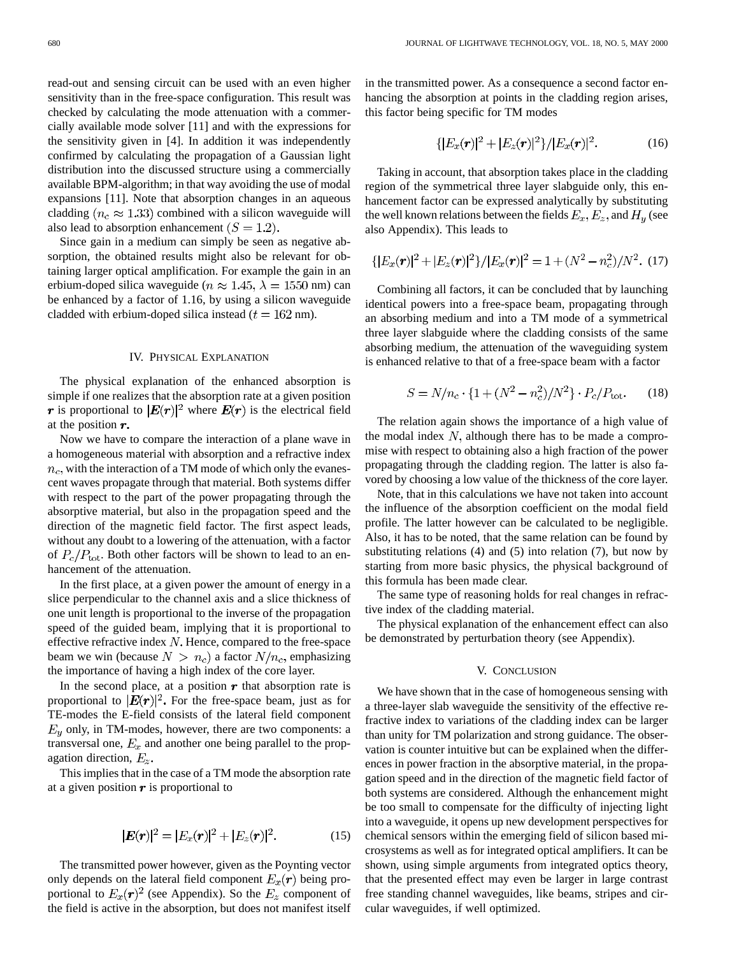read-out and sensing circuit can be used with an even higher sensitivity than in the free-space configuration. This result was checked by calculating the mode attenuation with a commercially available mode solver [11] and with the expressions for the sensitivity given in [4]. In addition it was independently confirmed by calculating the propagation of a Gaussian light distribution into the discussed structure using a commercially available BPM-algorithm; in that way avoiding the use of modal expansions [11]. Note that absorption changes in an aqueous cladding ( $n_c \approx 1.33$ ) combined with a silicon waveguide will also lead to absorption enhancement  $(S = 1.2)$ .

Since gain in a medium can simply be seen as negative absorption, the obtained results might also be relevant for obtaining larger optical amplification. For example the gain in an erbium-doped silica waveguide ( $n \approx 1.45$ ,  $\lambda = 1550$  nm) can be enhanced by a factor of 1.16, by using a silicon waveguide cladded with erbium-doped silica instead ( $t = 162$  nm).

# IV. PHYSICAL EXPLANATION

The physical explanation of the enhanced absorption is simple if one realizes that the absorption rate at a given position r is proportional to  $|E(r)|^2$  where  $E(r)$  is the electrical field at the position  $r$ .

Now we have to compare the interaction of a plane wave in a homogeneous material with absorption and a refractive index  $n_c$ , with the interaction of a TM mode of which only the evanescent waves propagate through that material. Both systems differ with respect to the part of the power propagating through the absorptive material, but also in the propagation speed and the direction of the magnetic field factor. The first aspect leads, without any doubt to a lowering of the attenuation, with a factor of  $P_c/P_{\text{tot}}$ . Both other factors will be shown to lead to an enhancement of the attenuation.

In the first place, at a given power the amount of energy in a slice perpendicular to the channel axis and a slice thickness of one unit length is proportional to the inverse of the propagation speed of the guided beam, implying that it is proportional to effective refractive index  $N$ . Hence, compared to the free-space beam we win (because  $N > n_c$ ) a factor  $N/n_c$ , emphasizing the importance of having a high index of the core layer.

In the second place, at a position  $\boldsymbol{r}$  that absorption rate is proportional to  $\mathbf{|}E(\mathbf{r})|^2$ . For the free-space beam, just as for TE-modes the E-field consists of the lateral field component  $E_y$  only, in TM-modes, however, there are two components: a transversal one,  $E_x$  and another one being parallel to the propagation direction,  $E_z$ .

This implies that in the case of a TM mode the absorption rate at a given position  $\boldsymbol{r}$  is proportional to

$$
|E(r)|^2 = |E_x(r)|^2 + |E_z(r)|^2.
$$
 (15)

The transmitted power however, given as the Poynting vector only depends on the lateral field component  $E_x(\mathbf{r})$  being proportional to  $E_x(\mathbf{r})^2$  (see Appendix). So the  $E_z$  component of the field is active in the absorption, but does not manifest itself in the transmitted power. As a consequence a second factor enhancing the absorption at points in the cladding region arises, this factor being specific for TM modes

$$
\{|E_x(\bm{r})|^2+|E_z(\bm{r})|^2\}/|E_x(\bm{r})|^2.\tag{16}
$$

Taking in account, that absorption takes place in the cladding region of the symmetrical three layer slabguide only, this enhancement factor can be expressed analytically by substituting the well known relations between the fields  $E_x, E_z$ , and  $H_y$  (see also Appendix). This leads to

$$
\{|E_x(\boldsymbol{r})|^2 + |E_z(\boldsymbol{r})|^2\}/|E_x(\boldsymbol{r})|^2 = 1 + (N^2 - n_c^2)/N^2.
$$
 (17)

Combining all factors, it can be concluded that by launching identical powers into a free-space beam, propagating through an absorbing medium and into a TM mode of a symmetrical three layer slabguide where the cladding consists of the same absorbing medium, the attenuation of the waveguiding system is enhanced relative to that of a free-space beam with a factor

$$
S = N/n_c \cdot \{1 + (N^2 - n_c^2)/N^2\} \cdot P_c/P_{\text{tot}}.\tag{18}
$$

The relation again shows the importance of a high value of the modal index  $N$ , although there has to be made a compromise with respect to obtaining also a high fraction of the power propagating through the cladding region. The latter is also favored by choosing a low value of the thickness of the core layer.

Note, that in this calculations we have not taken into account the influence of the absorption coefficient on the modal field profile. The latter however can be calculated to be negligible. Also, it has to be noted, that the same relation can be found by substituting relations  $(4)$  and  $(5)$  into relation  $(7)$ , but now by starting from more basic physics, the physical background of this formula has been made clear.

The same type of reasoning holds for real changes in refractive index of the cladding material.

The physical explanation of the enhancement effect can also be demonstrated by perturbation theory (see Appendix).

## V. CONCLUSION

We have shown that in the case of homogeneous sensing with a three-layer slab waveguide the sensitivity of the effective refractive index to variations of the cladding index can be larger than unity for TM polarization and strong guidance. The observation is counter intuitive but can be explained when the differences in power fraction in the absorptive material, in the propagation speed and in the direction of the magnetic field factor of both systems are considered. Although the enhancement might be too small to compensate for the difficulty of injecting light into a waveguide, it opens up new development perspectives for chemical sensors within the emerging field of silicon based microsystems as well as for integrated optical amplifiers. It can be shown, using simple arguments from integrated optics theory, that the presented effect may even be larger in large contrast free standing channel waveguides, like beams, stripes and circular waveguides, if well optimized.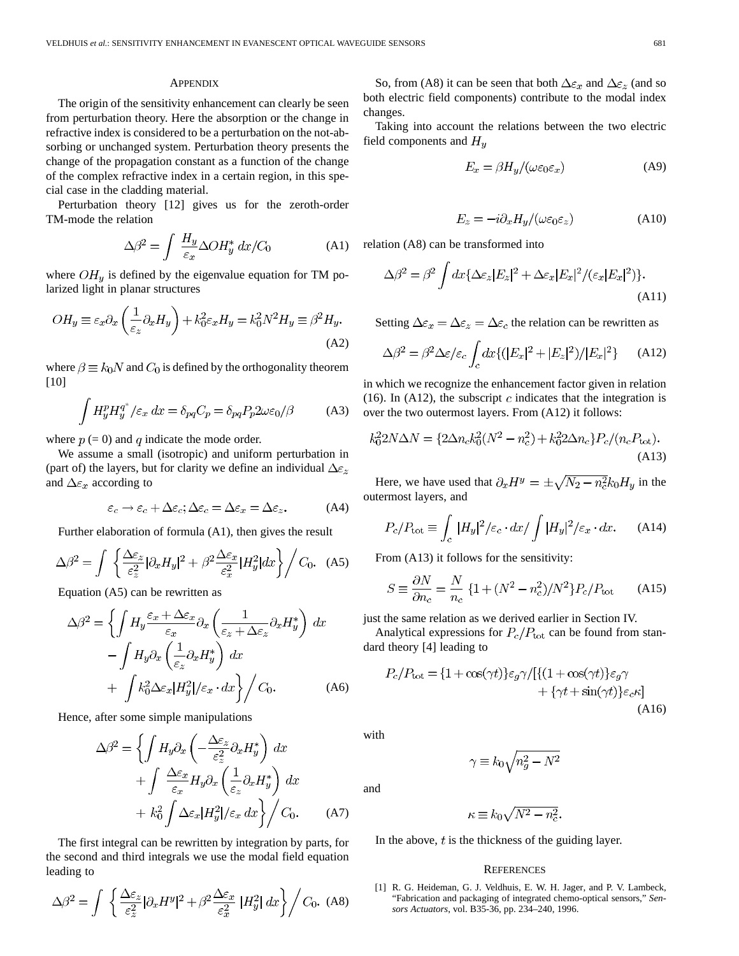## **APPENDIX**

The origin of the sensitivity enhancement can clearly be seen from perturbation theory. Here the absorption or the change in refractive index is considered to be a perturbation on the not-absorbing or unchanged system. Perturbation theory presents the change of the propagation constant as a function of the change of the complex refractive index in a certain region, in this special case in the cladding material.

Perturbation theory [12] gives us for the zeroth-order TM-mode the relation

$$
\Delta \beta^2 = \int \frac{H_y}{\varepsilon_x} \Delta O H_y^* dx / C_0 \tag{A1}
$$

where  $OH<sub>y</sub>$  is defined by the eigenvalue equation for TM polarized light in planar structures

$$
OH_y \equiv \varepsilon_x \partial_x \left(\frac{1}{\varepsilon_z} \partial_x H_y\right) + k_0^2 \varepsilon_x H_y = k_0^2 N^2 H_y \equiv \beta^2 H_y.
$$
\n(A2)

where  $\beta \equiv k_0 N$  and  $C_0$  is defined by the orthogonality theorem [10]

$$
\int H_y^p H_y^{q^*} / \varepsilon_x dx = \delta_{pq} C_p = \delta_{pq} P_p 2\omega \varepsilon_0 / \beta \tag{A3}
$$

where  $p (= 0)$  and q indicate the mode order.

We assume a small (isotropic) and uniform perturbation in (part of) the layers, but for clarity we define an individual  $\Delta \epsilon_z$ and  $\Delta \varepsilon_x$  according to

$$
\varepsilon_c \to \varepsilon_c + \Delta \varepsilon_c; \Delta \varepsilon_c = \Delta \varepsilon_x = \Delta \varepsilon_z. \tag{A4}
$$

Further elaboration of formula (A1), then gives the result

$$
\Delta\beta^2 = \int \left\{ \frac{\Delta\varepsilon_z}{\varepsilon_z^2} |\partial_x H_y|^2 + \beta^2 \frac{\Delta\varepsilon_x}{\varepsilon_x^2} |H_y^2| dx \right\} / C_0. \quad (A5)
$$

Equation (A5) can be rewritten as

$$
\Delta\beta^2 = \left\{ \int H_y \frac{\varepsilon_x + \Delta\varepsilon_x}{\varepsilon_x} \partial_x \left( \frac{1}{\varepsilon_z + \Delta\varepsilon_z} \partial_x H_y^* \right) dx - \int H_y \partial_x \left( \frac{1}{\varepsilon_z} \partial_x H_y^* \right) dx + \int k_0^2 \Delta\varepsilon_x |H_y^2| / \varepsilon_x \cdot dx \right\} / C_0.
$$
\n(A6)

Hence, after some simple manipulations

$$
\Delta \beta^2 = \left\{ \int H_y \partial_x \left( -\frac{\Delta \varepsilon_z}{\varepsilon_z^2} \partial_x H_y^* \right) dx \right. \left. + \int \frac{\Delta \varepsilon_x}{\varepsilon_x} H_y \partial_x \left( \frac{1}{\varepsilon_z} \partial_x H_y^* \right) dx \right. \left. + k_0^2 \int \Delta \varepsilon_x |H_y^2| / \varepsilon_x dx \right\} / C_0. \tag{A7}
$$

The first integral can be rewritten by integration by parts, for the second and third integrals we use the modal field equation leading to

$$
\Delta\beta^2 = \int \left\{ \frac{\Delta\varepsilon_z}{\varepsilon_z^2} |\partial_x H^y|^2 + \beta^2 \frac{\Delta\varepsilon_x}{\varepsilon_x^2} |H_y^2| dx \right\} / C_0. \tag{A8}
$$

So, from (A8) it can be seen that both  $\Delta \varepsilon_x$  and  $\Delta \varepsilon_z$  (and so both electric field components) contribute to the modal index changes.

Taking into account the relations between the two electric field components and  $H_y$ 

$$
E_x = \beta H_y / (\omega \varepsilon_0 \varepsilon_x) \tag{A9}
$$

$$
E_z = -i\partial_x H_y/(\omega \varepsilon_0 \varepsilon_z)
$$
 (A10)

relation (A8) can be transformed into

$$
\Delta\beta^2 = \beta^2 \int dx \{ \Delta\varepsilon_z |E_z|^2 + \Delta\varepsilon_x |E_x|^2 / (\varepsilon_x |E_x|^2) \}.
$$
\n(A11)

Setting  $\Delta \varepsilon_x = \Delta \varepsilon_z = \Delta \varepsilon_c$  the relation can be rewritten as

$$
\Delta\beta^2 = \beta^2 \Delta \varepsilon / \varepsilon_c \int_c dx \{ (|E_x|^2 + |E_z|^2) / |E_x|^2 \} \qquad (A12)
$$

in which we recognize the enhancement factor given in relation (16). In (A12), the subscript  $c$  indicates that the integration is over the two outermost layers. From (A12) it follows:

$$
k_0^2 2N\Delta N = \{2\Delta n_c k_0^2 (N^2 - n_c^2) + k_0^2 2\Delta n_c\} P_c / (n_c P_{\text{tot}}).
$$
\n(A13)

Here, we have used that  $\partial_x H^y = \pm \sqrt{N_2 - n_c^2} k_0 H_y$  in the outermost layers, and

$$
P_c/P_{\text{tot}} \equiv \int_c |H_y|^2 / \varepsilon_c \cdot dx / \int |H_y|^2 / \varepsilon_x \cdot dx. \tag{A14}
$$

From (A13) it follows for the sensitivity:

$$
S \equiv \frac{\partial N}{\partial n_c} = \frac{N}{n_c} \left\{ 1 + (N^2 - n_c^2)/N^2 \right\} P_c / P_{\text{tot}} \tag{A15}
$$

just the same relation as we derived earlier in Section IV.

Analytical expressions for  $P_c/P_{\text{tot}}$  can be found from standard theory [4] leading to

$$
P_c/P_{\text{tot}} = \{1 + \cos(\gamma t)\}\varepsilon_g \gamma / [\{(1 + \cos(\gamma t))\varepsilon_g \gamma + \{\gamma t + \sin(\gamma t)\}\varepsilon_c \kappa] + \{\gamma t + \sin(\gamma t)\}\varepsilon_c \kappa\}
$$
\n(A16)

with

and

$$
\gamma \equiv k_0 \sqrt{n_g^2 - N^2}
$$

 $\kappa \equiv k_0 \sqrt{N^2 - n_c^2}.$ 

In the above,  $t$  is the thickness of the guiding layer.

#### **REFERENCES**

[1] R. G. Heideman, G. J. Veldhuis, E. W. H. Jager, and P. V. Lambeck, "Fabrication and packaging of integrated chemo-optical sensors," *Sensors Actuators*, vol. B35-36, pp. 234–240, 1996.